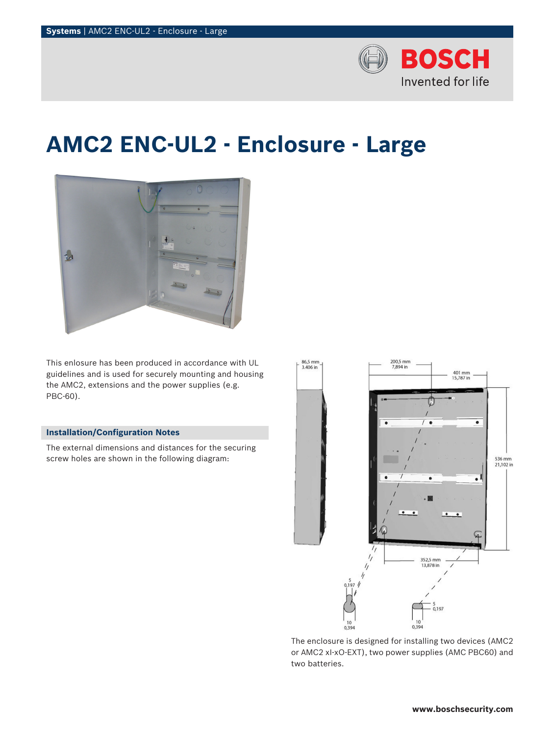

# **AMC2 ENC-UL2 - Enclosure - Large**



This enlosure has been produced in accordance with UL guidelines and is used for securely mounting and housing the AMC2, extensions and the power supplies (e.g. PBC-60).

### **Installation/Configuration Notes**

The external dimensions and distances for the securing screw holes are shown in the following diagram:



The enclosure is designed for installing two devices (AMC2 or AMC2 xI-xO-EXT), two power supplies (AMC PBC60) and two batteries.